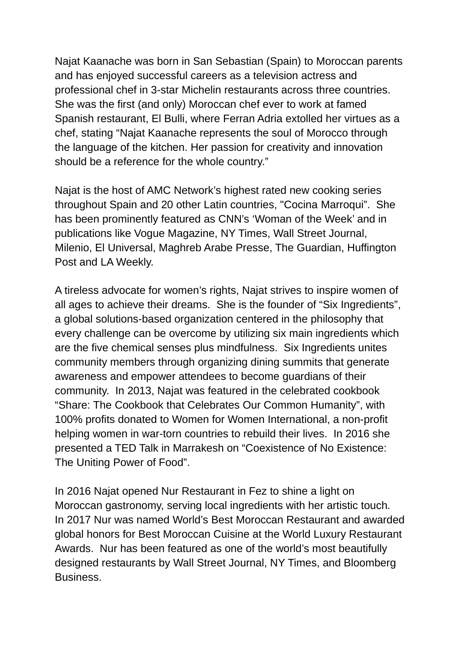Najat Kaanache was born in San Sebastian (Spain) to Moroccan parents and has enjoyed successful careers as a television actress and professional chef in 3-star Michelin restaurants across three countries. She was the first (and only) Moroccan chef ever to work at famed Spanish restaurant, El Bulli, where Ferran Adria extolled her virtues as a chef, stating "Najat Kaanache represents the soul of Morocco through the language of the kitchen. Her passion for creativity and innovation should be a reference for the whole country."

Najat is the host of AMC Network's highest rated new cooking series throughout Spain and 20 other Latin countries, "Cocina Marroqui". She has been prominently featured as CNN's 'Woman of the Week' and in publications like Vogue Magazine, NY Times, Wall Street Journal, Milenio, El Universal, Maghreb Arabe Presse, The Guardian, Huffington Post and LA Weekly.

A tireless advocate for women's rights, Najat strives to inspire women of all ages to achieve their dreams. She is the founder of "Six Ingredients", a global solutions-based organization centered in the philosophy that every challenge can be overcome by utilizing six main ingredients which are the five chemical senses plus mindfulness. Six Ingredients unites community members through organizing dining summits that generate awareness and empower attendees to become guardians of their community. In 2013, Najat was featured in the celebrated cookbook "Share: The Cookbook that Celebrates Our Common Humanity", with 100% profits donated to Women for Women International, a non-profit helping women in war-torn countries to rebuild their lives. In 2016 she presented a TED Talk in Marrakesh on "Coexistence of No Existence: The Uniting Power of Food".

In 2016 Najat opened Nur Restaurant in Fez to shine a light on Moroccan gastronomy, serving local ingredients with her artistic touch. In 2017 Nur was named World's Best Moroccan Restaurant and awarded global honors for Best Moroccan Cuisine at the World Luxury Restaurant Awards. Nur has been featured as one of the world's most beautifully designed restaurants by Wall Street Journal, NY Times, and Bloomberg Business.